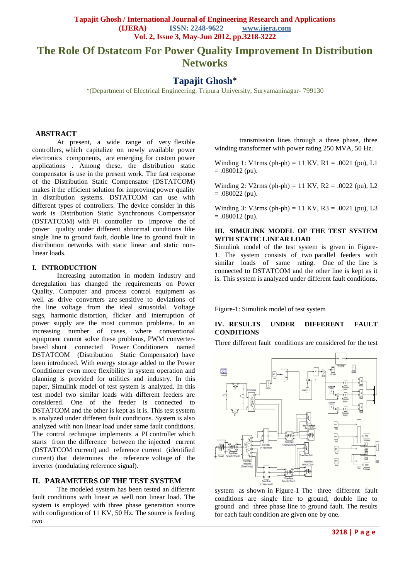**Tapajit Ghosh / International Journal of Engineering Research and Applications**<br>(IJERA) **ISSN:** 2248-9622 **www.ijera.com ISSN: 2248-9622 www.ijera.com Vol. 2, Issue 3, May-Jun 2012, pp.3218-3222**

# **The Role Of Dstatcom For Power Quality Improvement In Distribution Networks**

## **Tapajit Ghosh**\*

\*(Department of Electrical Engineering, Tripura University, Suryamaninagar- 799130

### **ABSTRACT**

At present, a wide range of very flexible controllers, which capitalize on newly available power electronics components, are emerging for custom power applications . Among these, the distribution static compensator is use in the present work. The fast response of the Distribution Static Compensator (DSTATCOM) makes it the efficient solution for improving power quality in distribution systems. DSTATCOM can use with different types of controllers. The device consider in this work is Distribution Static Synchronous Compensator (DSTATCOM) with PI controller to improve the of power quality under different abnormal conditions like single line to ground fault, double line to ground fault in distribution networks with static linear and static nonlinear loads.

### **I. INTRODUCTION**

Increasing automation in modem industry and deregulation has changed the requirements on Power Quality. Computer and process control equipment as well as drive converters are sensitive to deviations of the line voltage from the ideal sinusoidal. Voltage sags, harmonic distortion, flicker and interruption of power supply are the most common problems. In an increasing number of cases, where conventional equipment cannot solve these problems, PWM converterbased shunt connected Power Conditioners named DSTATCOM (Distribution Static Compensator) have been introduced. With energy storage added to the Power Conditioner even more flexibility in system operation and planning is provided for utilities and industry. In this paper, Simulink model of test system is analyzed. In this test model two similar loads with different feeders are considered. One of the feeder is connected to DSTATCOM and the other is kept as it is. This test system is analyzed under different fault conditions. System is also analyzed with non linear load under same fault conditions. The control technique implements a PI controller which starts from the difference between the injected current (DSTATCOM current) and reference current (identified current) that determines the reference voltage of the inverter (modulating reference signal).

### **II. PARAMETERS OF THE TEST SYSTEM**

The modeled system has been tested an different fault conditions with linear as well non linear load. The system is employed with three phase generation source with configuration of 11 KV, 50 Hz. The source is feeding two

transmission lines through a three phase, three winding transformer with power rating 250 MVA, 50 Hz.

Winding 1: V1rms (ph-ph) = 11 KV,  $R1 = .0021$  (pu), L1  $= .080012$  (pu).

Winding 2: V2rms (ph-ph) = 11 KV,  $R2 = .0022$  (pu), L2  $= .080022$  (pu).

Winding 3: V3rms (ph-ph) = 11 KV,  $R3 = .0021$  (pu), L3  $= .080012$  (pu).

### **III. SIMULINK MODEL OF THE TEST SYSTEM WITH STATIC LINEAR LOAD**

Simulink model of the test system is given in Figure-1. The system consists of two parallel feeders with similar loads of same rating. One of the line is connected to DSTATCOM and the other line is kept as it is. This system is analyzed under different fault conditions.

Figure-1: Simulink model of test system

### **IV. RESULTS UNDER DIFFERENT FAULT CONDITIONS**

Three different fault conditions are considered for the test



system as shown in Figure-1 The three different fault conditions are single line to ground, double line to ground and three phase line to ground fault. The results for each fault condition are given one by one.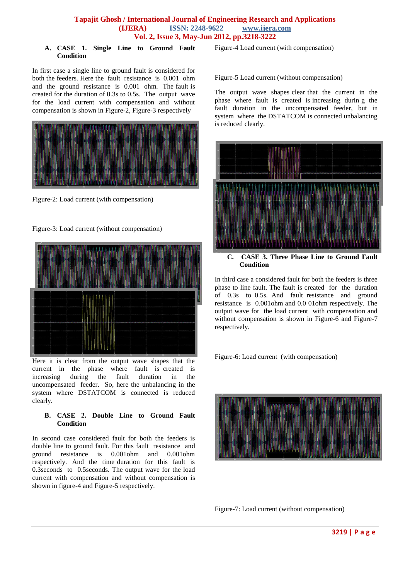### **Tapajit Ghosh / International Journal of Engineering Research and Applications (IJERA) ISSN: 2248-9622 www.ijera.com Vol. 2, Issue 3, May-Jun 2012, pp.3218-3222**

#### **A. CASE 1. Single Line to Ground Fault Condition**

In first case a single line to ground fault is considered for both the feeders. Here the fault resistance is 0.001 ohm and the ground resistance is 0.001 ohm. The fault is created for the duration of 0.3s to 0.5s. The output wave for the load current with compensation and without compensation is shown in Figure-2, Figure-3 respectively



Figure-2: Load current (with compensation)

Figure-3: Load current (without compensation)



Here it is clear from the output wave shapes that the current in the phase where fault is created is increasing during the fault duration in the uncompensated feeder. So, here the unbalancing in the system where DSTATCOM is connected is reduced clearly.

### **B. CASE 2. Double Line to Ground Fault Condition**

In second case considered fault for both the feeders is double line to ground fault. For this fault resistance and ground resistance is 0.001ohm and 0.001ohm respectively. And the time duration for this fault is 0.3seconds to 0.5seconds. The output wave for the load current with compensation and without compensation is shown in figure-4 and Figure-5 respectively.

Figure-4 Load current (with compensation)

Figure-5 Load current (without compensation)

The output wave shapes clear that the current in the phase where fault is created is increasing durin g the fault duration in the uncompensated feeder, but in system where the DSTATCOM is connected unbalancing is reduced clearly.



**C. CASE 3. Three Phase Line to Ground Fault Condition**

In third case a considered fault for both the feeders is three phase to line fault. The fault is created for the duration of 0.3s to 0.5s. And fault resistance and ground resistance is 0.001ohm and 0.0 01ohm respectively. The output wave for the load current with compensation and without compensation is shown in Figure-6 and Figure-7 respectively.

Figure-6: Load current (with compensation)



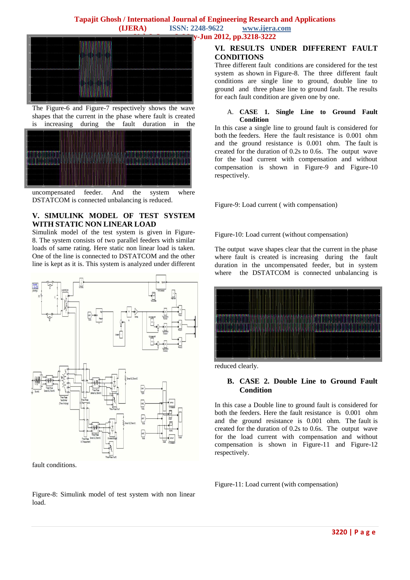

The Figure-6 and Figure-7 respectively shows the wave shapes that the current in the phase where fault is created<br>is increasing during the fault duration in the is increasing during the fault duration in the



uncompensated feeder. And the system where DSTATCOM is connected unbalancing is reduced.

### **V. SIMULINK MODEL OF TEST SYSTEM WITH STATIC NON LINEAR LOAD**

Simulink model of the test system is given in Figure-8. The system consists of two parallel feeders with similar loads of same rating. Here static non linear load is taken. One of the line is connected to DSTATCOM and the other line is kept as it is. This system is analyzed under different



fault conditions.

Figure-8: Simulink model of test system with non linear load.

### **VI. RESULTS UNDER DIFFERENT FAULT CONDITIONS**

Three different fault conditions are considered for the test system as shown in Figure-8. The three different fault conditions are single line to ground, double line to ground and three phase line to ground fault. The results for each fault condition are given one by one.

### A. **CASE 1. Single Line to Ground Fault Condition**

In this case a single line to ground fault is considered for both the feeders. Here the fault resistance is 0.001 ohm and the ground resistance is 0.001 ohm. The fault is created for the duration of 0.2s to 0.6s. The output wave for the load current with compensation and without compensation is shown in Figure-9 and Figure-10 respectively.

Figure-9: Load current ( with compensation)

Figure-10: Load current (without compensation)

The output wave shapes clear that the current in the phase where fault is created is increasing during the fault duration in the uncompensated feeder, but in system where the DSTATCOM is connected unbalancing is



reduced clearly.

### **B. CASE 2. Double Line to Ground Fault Condition**

In this case a Double line to ground fault is considered for both the feeders. Here the fault resistance is 0.001 ohm and the ground resistance is 0.001 ohm. The fault is created for the duration of 0.2s to 0.6s. The output wave for the load current with compensation and without compensation is shown in Figure-11 and Figure-12 respectively.

Figure-11: Load current (with compensation)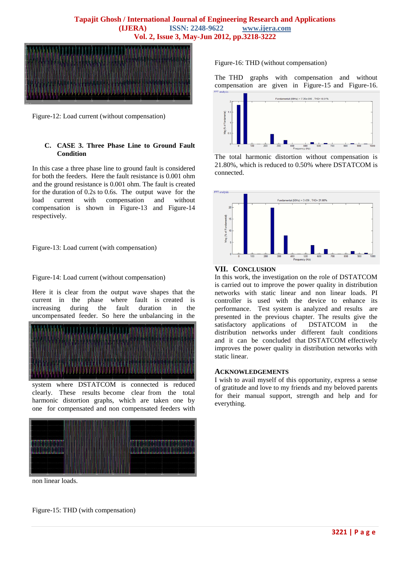

Figure-12: Load current (without compensation)

### **C. CASE 3. Three Phase Line to Ground Fault Condition**

In this case a three phase line to ground fault is considered for both the feeders. Here the fault resistance is 0.001 ohm and the ground resistance is 0.001 ohm. The fault is created for the duration of 0.2s to 0.6s. The output wave for the load current with compensation and without compensation is shown in Figure-13 and Figure-14 respectively.

Figure-13: Load current (with compensation)

#### Figure-14: Load current (without compensation)

Here it is clear from the output wave shapes that the current in the phase where fault is created is increasing during the fault duration in the uncompensated feeder. So here the unbalancing in the



system where DSTATCOM is connected is reduced clearly. These results become clear from the total harmonic distortion graphs, which are taken one by one for compensated and non compensated feeders with



non linear loads.

Figure-15: THD (with compensation)

Figure-16: THD (without compensation)

The THD graphs with compensation and without compensation are given in Figure-15 and Figure-16.



The total harmonic distortion without compensation is 21.80%, which is reduced to 0.50% where DSTATCOM is connected.



### **VII. CONCLUSION**

In this work, the investigation on the role of DSTATCOM is carried out to improve the power quality in distribution networks with static linear and non linear loads. PI controller is used with the device to enhance its performance. Test system is analyzed and results are presented in the previous chapter. The results give the satisfactory applications of DSTATCOM in the distribution networks under different fault conditions and it can be concluded that DSTATCOM effectively improves the power quality in distribution networks with static linear.

#### **ACKNOWLEDGEMENTS**

I wish to avail myself of this opportunity, express a sense of gratitude and love to my friends and my beloved parents for their manual support, strength and help and for everything.